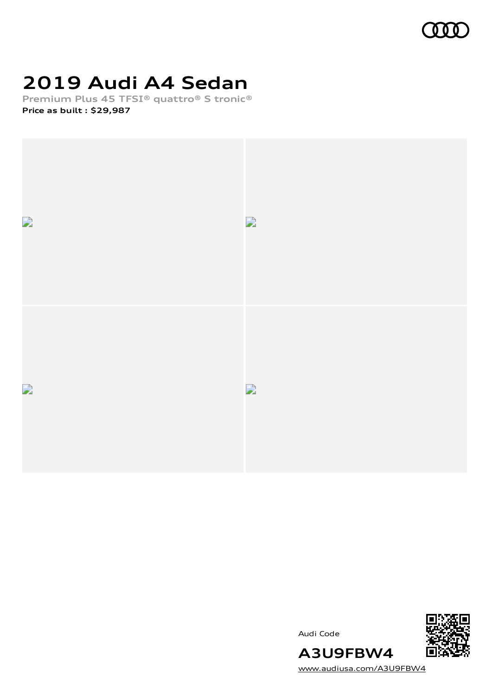

# **2019 Audi A4 Sedan**

**Premium Plus 45 TFSI® quattro® S tronic® Price as built [:](#page-8-0) \$29,987**



Audi Code



[www.audiusa.com/A3U9FBW4](https://www.audiusa.com/A3U9FBW4)

**A3U9FBW4**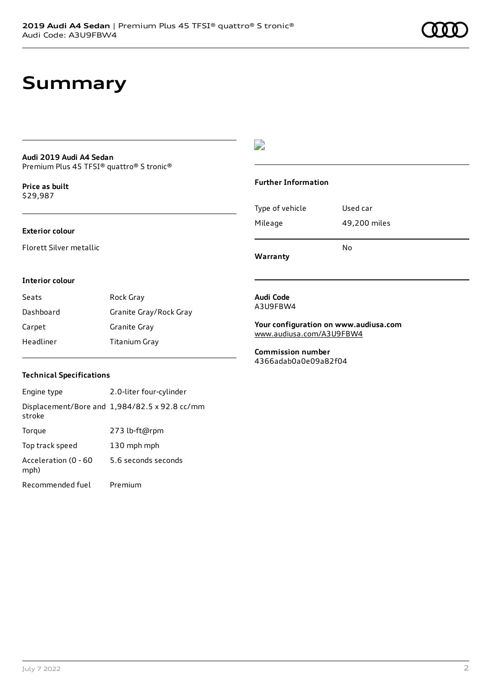### **Summary**

#### **Audi 2019 Audi A4 Sedan** Premium Plus 45 TFSI® quattro® S tronic®

**Price as buil[t](#page-8-0)** \$29,987

#### **Exterior colour**

Florett Silver metallic

### $\overline{\phantom{a}}$

#### **Further Information**

|                 | N٥           |
|-----------------|--------------|
| Mileage         | 49,200 miles |
| Type of vehicle | Used car     |

**Warranty**

#### **Interior colour**

| Seats     | Rock Gray              |
|-----------|------------------------|
| Dashboard | Granite Gray/Rock Gray |
| Carpet    | Granite Gray           |
| Headliner | Titanium Gray          |

#### **Audi Code** A3U9FBW4

**Your configuration on www.audiusa.com** [www.audiusa.com/A3U9FBW4](https://www.audiusa.com/A3U9FBW4)

**Commission number** 4366adab0a0e09a82f04

#### **Technical Specifications**

| Engine type                  | 2.0-liter four-cylinder                       |
|------------------------------|-----------------------------------------------|
| stroke                       | Displacement/Bore and 1,984/82.5 x 92.8 cc/mm |
| Torque                       | 273 lb-ft@rpm                                 |
| Top track speed              | 130 mph mph                                   |
| Acceleration (0 - 60<br>mph) | 5.6 seconds seconds                           |
| Recommended fuel             | Premium                                       |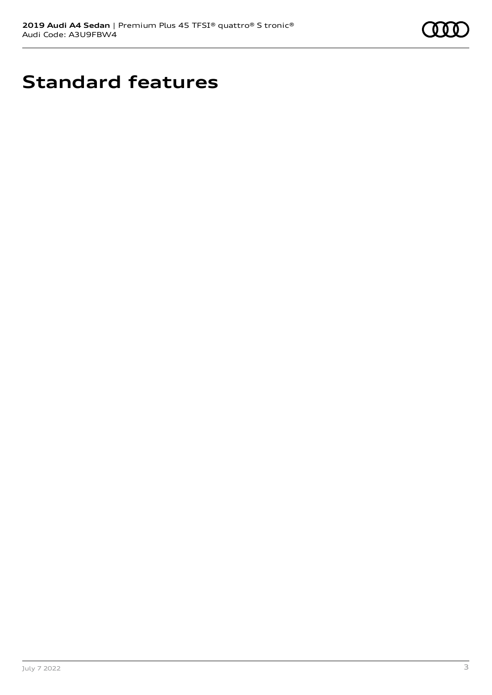

## **Standard features**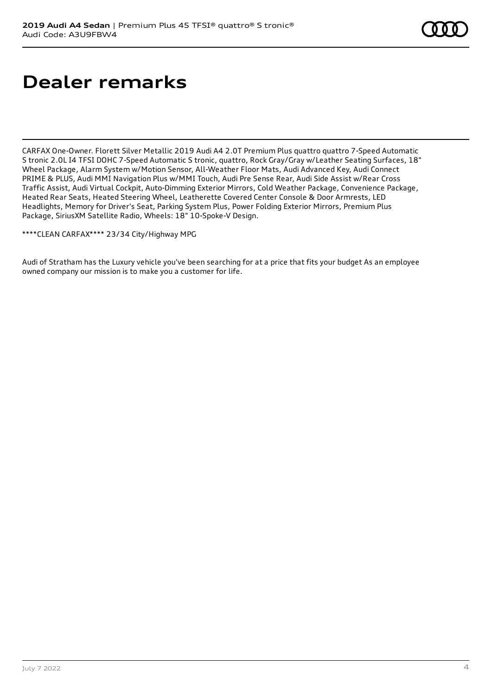# **Dealer remarks**

CARFAX One-Owner. Florett Silver Metallic 2019 Audi A4 2.0T Premium Plus quattro quattro 7-Speed Automatic S tronic 2.0L I4 TFSI DOHC 7-Speed Automatic S tronic, quattro, Rock Gray/Gray w/Leather Seating Surfaces, 18" Wheel Package, Alarm System w/Motion Sensor, All-Weather Floor Mats, Audi Advanced Key, Audi Connect PRIME & PLUS, Audi MMI Navigation Plus w/MMI Touch, Audi Pre Sense Rear, Audi Side Assist w/Rear Cross Traffic Assist, Audi Virtual Cockpit, Auto-Dimming Exterior Mirrors, Cold Weather Package, Convenience Package, Heated Rear Seats, Heated Steering Wheel, Leatherette Covered Center Console & Door Armrests, LED Headlights, Memory for Driver's Seat, Parking System Plus, Power Folding Exterior Mirrors, Premium Plus Package, SiriusXM Satellite Radio, Wheels: 18" 10-Spoke-V Design.

\*\*\*\*CLEAN CARFAX\*\*\*\* 23/34 City/Highway MPG

Audi of Stratham has the Luxury vehicle you've been searching for at a price that fits your budget As an employee owned company our mission is to make you a customer for life.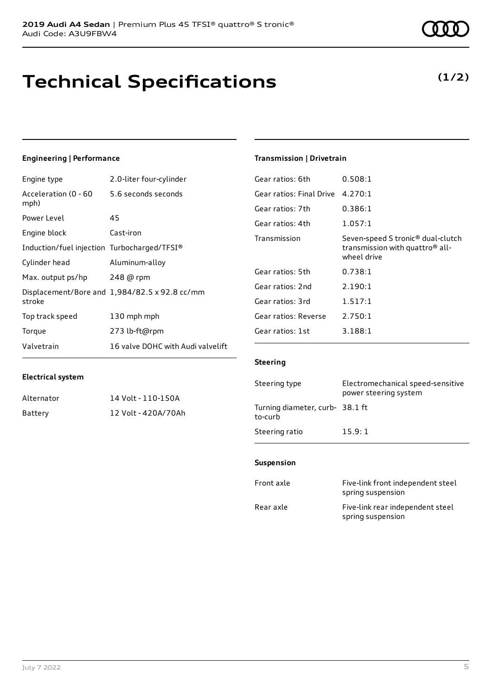### **Technical Specifications**

July 7 2022 5

### **Engineering | Performance**

**Electrical system**

Engine type 2.0-liter four-cylinder

Alternator 14 Volt - 110-150A Battery 12 Volt - 420A/70Ah

| Acceleration (0 - 60 5.6 seconds seconds<br>mph) |                                               |
|--------------------------------------------------|-----------------------------------------------|
| Power Level                                      | 45                                            |
| Engine block                                     | Cast-iron                                     |
| Induction/fuel injection Turbocharged/TFSI®      |                                               |
| Cylinder head                                    | Aluminum-alloy                                |
| Max. output ps/hp 248 @ rpm                      |                                               |
| stroke                                           | Displacement/Bore and 1,984/82.5 x 92.8 cc/mm |
| Top track speed                                  | 130 mph mph                                   |
| Torque                                           | 273 lb-ft@rpm                                 |
| Valvetrain                                       | 16 valve DOHC with Audi valvelift             |

### **Transmission | Drivetrain**

| Gear ratios: 6th         | 0.508:1                                                                                                     |
|--------------------------|-------------------------------------------------------------------------------------------------------------|
| Gear ratios: Final Drive | 4.270:1                                                                                                     |
| Gear ratios: 7th         | 0.386:1                                                                                                     |
| Gear ratios: 4th         | 1.057:1                                                                                                     |
| Transmission             | Seven-speed S tronic <sup>®</sup> dual-clutch<br>transmission with quattro <sup>®</sup> all-<br>wheel drive |
| Gear ratios: 5th         | 0.738:1                                                                                                     |
| Gear ratios: 2nd         | 2.190:1                                                                                                     |
| Gear ratios: 3rd         | 1.517:1                                                                                                     |
| Gear ratios: Reverse     | 2.750:1                                                                                                     |
| Gear ratios: 1st         | 3.188:1                                                                                                     |

#### **Steering**

| Steering type                             | Electromechanical speed-sensitive<br>power steering system |
|-------------------------------------------|------------------------------------------------------------|
| Turning diameter, curb-38.1 ft<br>to-curb |                                                            |
| Steering ratio                            | 15.9:1                                                     |

#### **Suspension**

| Front axle | Five-link front independent steel<br>spring suspension |
|------------|--------------------------------------------------------|
| Rear axle  | Five-link rear independent steel<br>spring suspension  |

**(1/2)**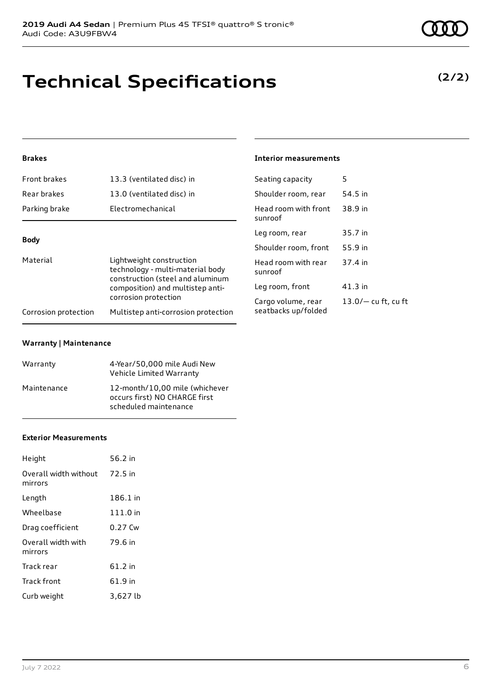# **Technical Specifications**

### **Brakes**

| Front brakes                                                                                                                                                             | 13.3 (ventilated disc) in           | Seating capacity                | 5                     |
|--------------------------------------------------------------------------------------------------------------------------------------------------------------------------|-------------------------------------|---------------------------------|-----------------------|
| Rear brakes                                                                                                                                                              | 13.0 (ventilated disc) in           | Shoulder room, rear             | 54.5 in               |
| Parking brake                                                                                                                                                            | Electromechanical                   | Head room with front<br>sunroof | 38.9 in               |
| <b>Body</b>                                                                                                                                                              |                                     | Leg room, rear                  | 35.7 in               |
|                                                                                                                                                                          |                                     | Shoulder room, front            | 55.9 in               |
| Material<br>Lightweight construction<br>technology - multi-material body<br>construction (steel and aluminum<br>composition) and multistep anti-<br>corrosion protection | Head room with rear<br>sunroof      | 37.4 in                         |                       |
|                                                                                                                                                                          | Leg room, front                     | $41.3$ in                       |                       |
|                                                                                                                                                                          |                                     | Cargo volume, rear              | $13.0/-$ cu ft, cu ft |
| Corrosion protection                                                                                                                                                     | Multistep anti-corrosion protection | seatbacks up/folded             |                       |

**Interior measurements**

#### **Warranty | Maintenance**

| Warranty    | 4-Year/50,000 mile Audi New<br>Vehicle Limited Warranty                                  |
|-------------|------------------------------------------------------------------------------------------|
| Maintenance | 12-month/10,00 mile (whichever<br>occurs first) NO CHARGE first<br>scheduled maintenance |

#### **Exterior Measurements**

| Height                           | 56.2 in  |
|----------------------------------|----------|
| Overall width without<br>mirrors | 72.5 in  |
| Length                           | 186.1 in |
| Wheelbase                        | 111.0 in |
| Drag coefficient                 | 0.27 Cw  |
| Overall width with<br>mirrors    | 79.6 in  |
| Track rear                       | 61.2 in  |
| Track front                      | 61.9 in  |
| Curb weight                      | 3,627 lb |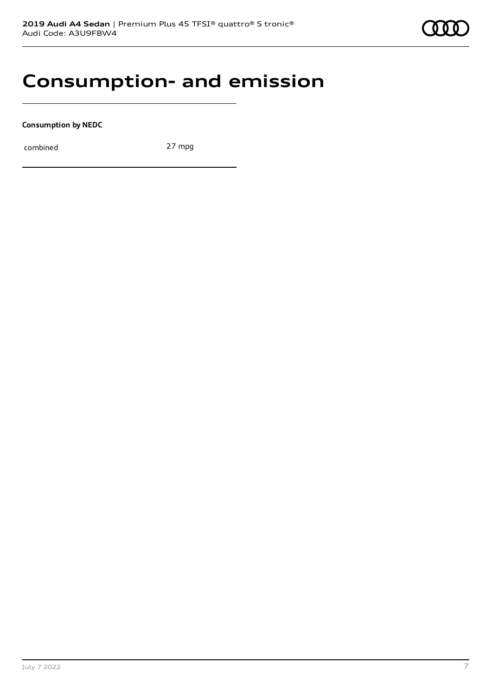### **Consumption- and emission**

**Consumption by NEDC**

combined 27 mpg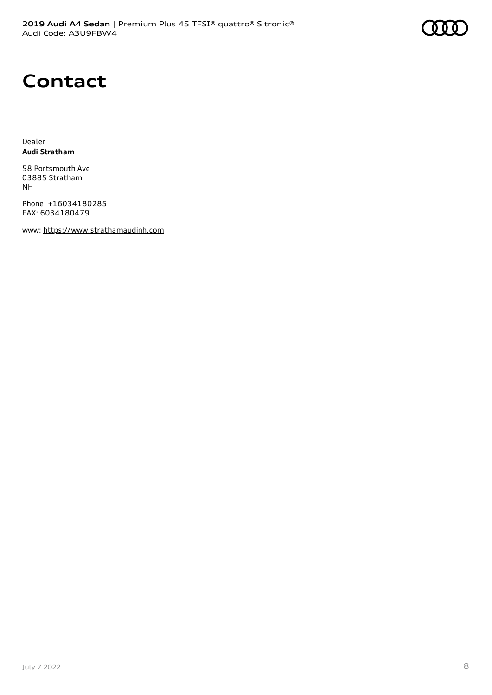# **Contact**

Dealer **Audi Stratham**

58 Portsmouth Ave 03885 Stratham NH

Phone: +16034180285 FAX: 6034180479

www: [https://www.strathamaudinh.com](https://www.strathamaudinh.com/)